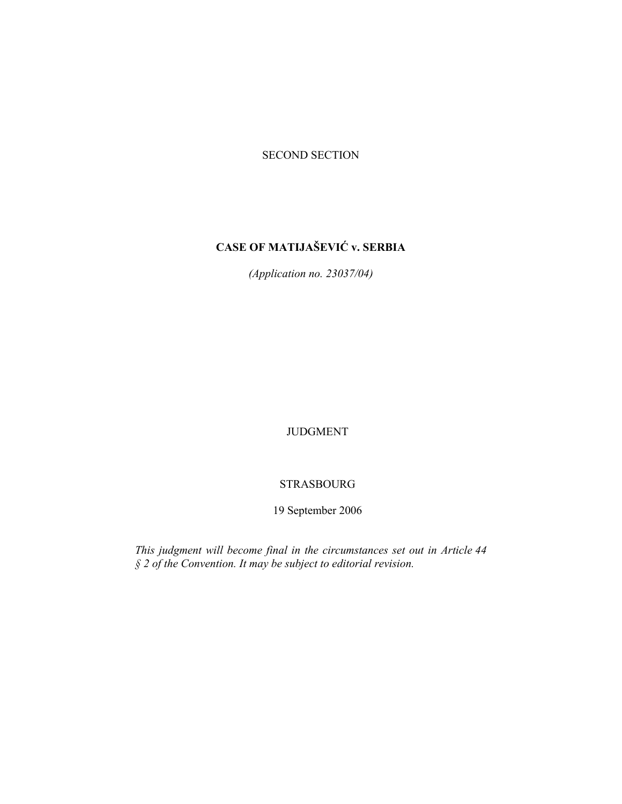### SECOND SECTION

# **CASE OF MATIJAŠEVIĆ v. SERBIA**

*(Application no. 23037/04)* 

JUDGMENT

### STRASBOURG

19 September 2006

*This judgment will become final in the circumstances set out in Article 44 § 2 of the Convention. It may be subject to editorial revision.*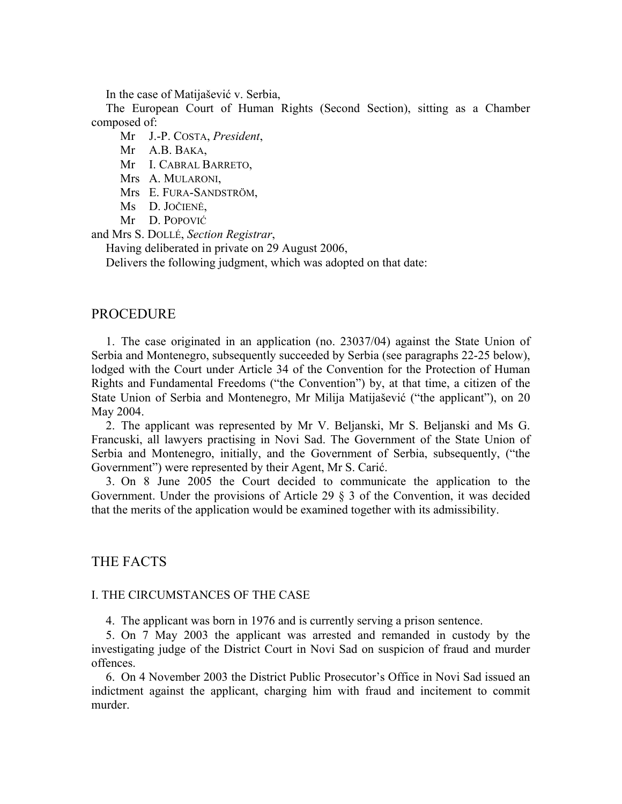In the case of Matijašević v. Serbia,

The European Court of Human Rights (Second Section), sitting as a Chamber composed of:

Mr J.-P. COSTA, *President*,

Mr A.B. BAKA,

Mr I. CABRAL BARRETO,

- Mrs A. MULARONI,
- Mrs E. FURA-SANDSTRÖM,
- Ms D. JOČIENĖ,
- Mr D. POPOVIĆ

and Mrs S. DOLLÉ, *Section Registrar*,

Having deliberated in private on 29 August 2006,

Delivers the following judgment, which was adopted on that date:

### **PROCEDURE**

1. The case originated in an application (no. 23037/04) against the State Union of Serbia and Montenegro, subsequently succeeded by Serbia (see paragraphs 22-25 below), lodged with the Court under Article 34 of the Convention for the Protection of Human Rights and Fundamental Freedoms ("the Convention") by, at that time, a citizen of the State Union of Serbia and Montenegro, Mr Milija Matijašević ("the applicant"), on 20 May 2004.

2. The applicant was represented by Mr V. Beljanski, Mr S. Beljanski and Ms G. Francuski, all lawyers practising in Novi Sad. The Government of the State Union of Serbia and Montenegro, initially, and the Government of Serbia, subsequently, ("the Government") were represented by their Agent, Mr S. Carić.

3. On 8 June 2005 the Court decided to communicate the application to the Government. Under the provisions of Article 29 § 3 of the Convention, it was decided that the merits of the application would be examined together with its admissibility.

# THE FACTS

### I. THE CIRCUMSTANCES OF THE CASE

4. The applicant was born in 1976 and is currently serving a prison sentence.

5. On 7 May 2003 the applicant was arrested and remanded in custody by the investigating judge of the District Court in Novi Sad on suspicion of fraud and murder offences.

6. On 4 November 2003 the District Public Prosecutor's Office in Novi Sad issued an indictment against the applicant, charging him with fraud and incitement to commit murder.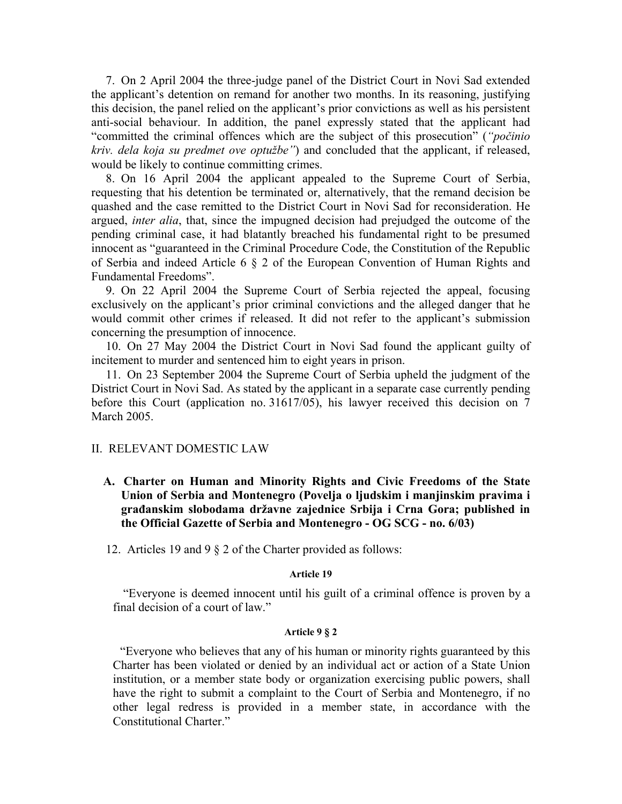7. On 2 April 2004 the three-judge panel of the District Court in Novi Sad extended the applicant's detention on remand for another two months. In its reasoning, justifying this decision, the panel relied on the applicant's prior convictions as well as his persistent anti-social behaviour. In addition, the panel expressly stated that the applicant had "committed the criminal offences which are the subject of this prosecution" (*"počinio kriv. dela koja su predmet ove optužbe"*) and concluded that the applicant, if released, would be likely to continue committing crimes.

8. On 16 April 2004 the applicant appealed to the Supreme Court of Serbia, requesting that his detention be terminated or, alternatively, that the remand decision be quashed and the case remitted to the District Court in Novi Sad for reconsideration. He argued, *inter alia*, that, since the impugned decision had prejudged the outcome of the pending criminal case, it had blatantly breached his fundamental right to be presumed innocent as "guaranteed in the Criminal Procedure Code, the Constitution of the Republic of Serbia and indeed Article 6 § 2 of the European Convention of Human Rights and Fundamental Freedoms".

9. On 22 April 2004 the Supreme Court of Serbia rejected the appeal, focusing exclusively on the applicant's prior criminal convictions and the alleged danger that he would commit other crimes if released. It did not refer to the applicant's submission concerning the presumption of innocence.

10. On 27 May 2004 the District Court in Novi Sad found the applicant guilty of incitement to murder and sentenced him to eight years in prison.

11. On 23 September 2004 the Supreme Court of Serbia upheld the judgment of the District Court in Novi Sad. As stated by the applicant in a separate case currently pending before this Court (application no. 31617/05), his lawyer received this decision on 7 March 2005.

### II. RELEVANT DOMESTIC LAW

**A. Charter on Human and Minority Rights and Civic Freedoms of the State Union of Serbia and Montenegro (Povelja o ljudskim i manjinskim pravima i građanskim slobodama državne zajednice Srbija i Crna Gora; published in the Official Gazette of Serbia and Montenegro - OG SCG - no. 6/03)** 

12. Articles 19 and 9 § 2 of the Charter provided as follows:

#### **Article 19**

 "Everyone is deemed innocent until his guilt of a criminal offence is proven by a final decision of a court of law."

#### **Article 9 § 2**

"Everyone who believes that any of his human or minority rights guaranteed by this Charter has been violated or denied by an individual act or action of a State Union institution, or a member state body or organization exercising public powers, shall have the right to submit a complaint to the Court of Serbia and Montenegro, if no other legal redress is provided in a member state, in accordance with the Constitutional Charter."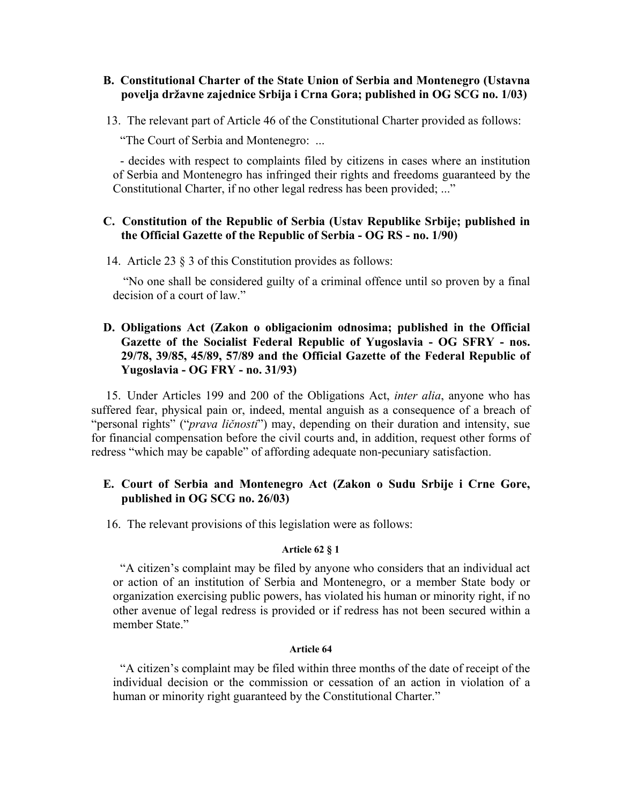## **B. Constitutional Charter of the State Union of Serbia and Montenegro (Ustavna povelja državne zajednice Srbija i Crna Gora; published in OG SCG no. 1/03)**

13. The relevant part of Article 46 of the Constitutional Charter provided as follows:

"The Court of Serbia and Montenegro: ...

- decides with respect to complaints filed by citizens in cases where an institution of Serbia and Montenegro has infringed their rights and freedoms guaranteed by the Constitutional Charter, if no other legal redress has been provided; ..."

### **C. Constitution of the Republic of Serbia (Ustav Republike Srbije; published in the Official Gazette of the Republic of Serbia - OG RS - no. 1/90)**

14. Article 23 § 3 of this Constitution provides as follows:

 "No one shall be considered guilty of a criminal offence until so proven by a final decision of a court of law."

# **D. Obligations Act (Zakon o obligacionim odnosima; published in the Official Gazette of the Socialist Federal Republic of Yugoslavia - OG SFRY - nos. 29/78, 39/85, 45/89, 57/89 and the Official Gazette of the Federal Republic of Yugoslavia - OG FRY - no. 31/93)**

15. Under Articles 199 and 200 of the Obligations Act, *inter alia*, anyone who has suffered fear, physical pain or, indeed, mental anguish as a consequence of a breach of "personal rights" ("*prava ličnosti*") may, depending on their duration and intensity, sue for financial compensation before the civil courts and, in addition, request other forms of redress "which may be capable" of affording adequate non-pecuniary satisfaction.

# **E. Court of Serbia and Montenegro Act (Zakon o Sudu Srbije i Crne Gore, published in OG SCG no. 26/03)**

16. The relevant provisions of this legislation were as follows:

### **Article 62 § 1**

"A citizen's complaint may be filed by anyone who considers that an individual act or action of an institution of Serbia and Montenegro, or a member State body or organization exercising public powers, has violated his human or minority right, if no other avenue of legal redress is provided or if redress has not been secured within a member State."

#### **Article 64**

"A citizen's complaint may be filed within three months of the date of receipt of the individual decision or the commission or cessation of an action in violation of a human or minority right guaranteed by the Constitutional Charter."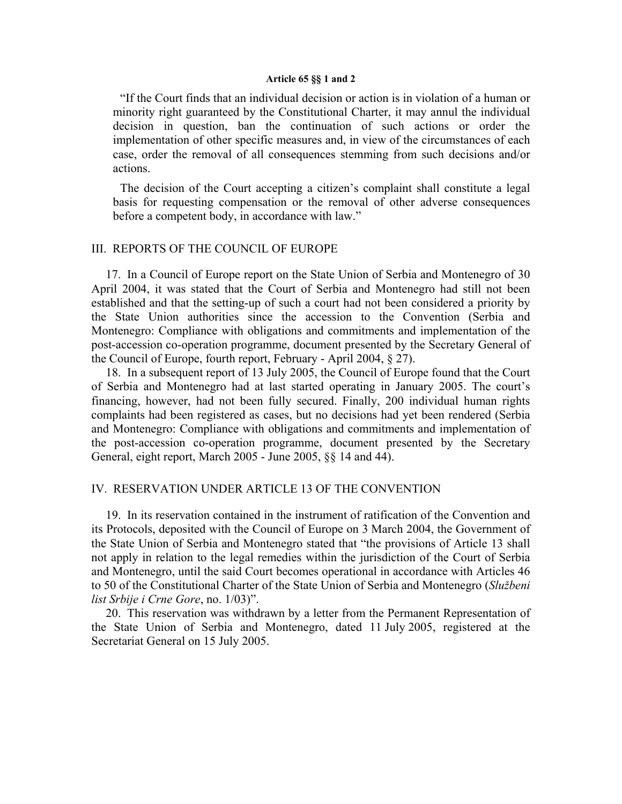#### **Article 65 §§ 1 and 2**

"If the Court finds that an individual decision or action is in violation of a human or minority right guaranteed by the Constitutional Charter, it may annul the individual decision in question, ban the continuation of such actions or order the implementation of other specific measures and, in view of the circumstances of each case, order the removal of all consequences stemming from such decisions and/or actions.

The decision of the Court accepting a citizen's complaint shall constitute a legal basis for requesting compensation or the removal of other adverse consequences before a competent body, in accordance with law."

#### III. REPORTS OF THE COUNCIL OF EUROPE

17. In a Council of Europe report on the State Union of Serbia and Montenegro of 30 April 2004, it was stated that the Court of Serbia and Montenegro had still not been established and that the setting-up of such a court had not been considered a priority by the State Union authorities since the accession to the Convention (Serbia and Montenegro: Compliance with obligations and commitments and implementation of the post-accession co-operation programme, document presented by the Secretary General of the Council of Europe, fourth report, February - April 2004, § 27).

18. In a subsequent report of 13 July 2005, the Council of Europe found that the Court of Serbia and Montenegro had at last started operating in January 2005. The court's financing, however, had not been fully secured. Finally, 200 individual human rights complaints had been registered as cases, but no decisions had yet been rendered (Serbia and Montenegro: Compliance with obligations and commitments and implementation of the post-accession co-operation programme, document presented by the Secretary General, eight report, March 2005 - June 2005, §§ 14 and 44).

### IV. RESERVATION UNDER ARTICLE 13 OF THE CONVENTION

19. In its reservation contained in the instrument of ratification of the Convention and its Protocols, deposited with the Council of Europe on 3 March 2004, the Government of the State Union of Serbia and Montenegro stated that "the provisions of Article 13 shall not apply in relation to the legal remedies within the jurisdiction of the Court of Serbia and Montenegro, until the said Court becomes operational in accordance with Articles 46 to 50 of the Constitutional Charter of the State Union of Serbia and Montenegro (*Službeni list Srbije i Crne Gore*, no. 1/03)".

20. This reservation was withdrawn by a letter from the Permanent Representation of the State Union of Serbia and Montenegro, dated 11 July 2005, registered at the Secretariat General on 15 July 2005.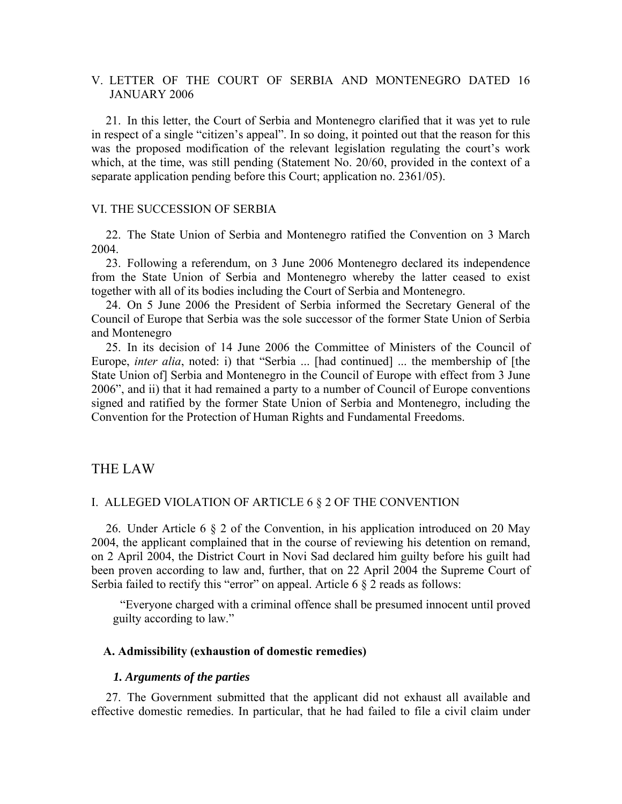# V. LETTER OF THE COURT OF SERBIA AND MONTENEGRO DATED 16 JANUARY 2006

21. In this letter, the Court of Serbia and Montenegro clarified that it was yet to rule in respect of a single "citizen's appeal". In so doing, it pointed out that the reason for this was the proposed modification of the relevant legislation regulating the court's work which, at the time, was still pending (Statement No. 20/60, provided in the context of a separate application pending before this Court; application no. 2361/05).

### VI. THE SUCCESSION OF SERBIA

22. The State Union of Serbia and Montenegro ratified the Convention on 3 March 2004.

23. Following a referendum, on 3 June 2006 Montenegro declared its independence from the State Union of Serbia and Montenegro whereby the latter ceased to exist together with all of its bodies including the Court of Serbia and Montenegro.

24. On 5 June 2006 the President of Serbia informed the Secretary General of the Council of Europe that Serbia was the sole successor of the former State Union of Serbia and Montenegro

25. In its decision of 14 June 2006 the Committee of Ministers of the Council of Europe, *inter alia*, noted: i) that "Serbia ... [had continued] ... the membership of [the State Union of] Serbia and Montenegro in the Council of Europe with effect from 3 June 2006", and ii) that it had remained a party to a number of Council of Europe conventions signed and ratified by the former State Union of Serbia and Montenegro, including the Convention for the Protection of Human Rights and Fundamental Freedoms.

# THE LAW

# I. ALLEGED VIOLATION OF ARTICLE 6 § 2 OF THE CONVENTION

26. Under Article 6 § 2 of the Convention, in his application introduced on 20 May 2004, the applicant complained that in the course of reviewing his detention on remand, on 2 April 2004, the District Court in Novi Sad declared him guilty before his guilt had been proven according to law and, further, that on 22 April 2004 the Supreme Court of Serbia failed to rectify this "error" on appeal. Article  $6 \frac{8}{3}$  reads as follows:

"Everyone charged with a criminal offence shall be presumed innocent until proved guilty according to law."

#### **A. Admissibility (exhaustion of domestic remedies)**

#### *1. Arguments of the parties*

27. The Government submitted that the applicant did not exhaust all available and effective domestic remedies. In particular, that he had failed to file a civil claim under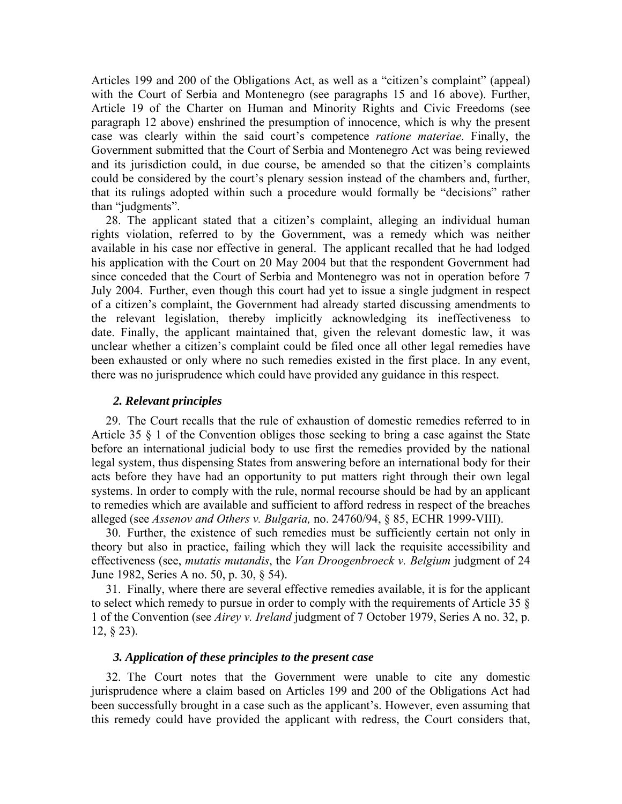Articles 199 and 200 of the Obligations Act, as well as a "citizen's complaint" (appeal) with the Court of Serbia and Montenegro (see paragraphs 15 and 16 above). Further, Article 19 of the Charter on Human and Minority Rights and Civic Freedoms (see paragraph 12 above) enshrined the presumption of innocence, which is why the present case was clearly within the said court's competence *ratione materiae*. Finally, the Government submitted that the Court of Serbia and Montenegro Act was being reviewed and its jurisdiction could, in due course, be amended so that the citizen's complaints could be considered by the court's plenary session instead of the chambers and, further, that its rulings adopted within such a procedure would formally be "decisions" rather than "judgments".

28. The applicant stated that a citizen's complaint, alleging an individual human rights violation, referred to by the Government, was a remedy which was neither available in his case nor effective in general. The applicant recalled that he had lodged his application with the Court on 20 May 2004 but that the respondent Government had since conceded that the Court of Serbia and Montenegro was not in operation before 7 July 2004. Further, even though this court had yet to issue a single judgment in respect of a citizen's complaint, the Government had already started discussing amendments to the relevant legislation, thereby implicitly acknowledging its ineffectiveness to date. Finally, the applicant maintained that, given the relevant domestic law, it was unclear whether a citizen's complaint could be filed once all other legal remedies have been exhausted or only where no such remedies existed in the first place. In any event, there was no jurisprudence which could have provided any guidance in this respect.

#### *2. Relevant principles*

29. The Court recalls that the rule of exhaustion of domestic remedies referred to in Article 35 § 1 of the Convention obliges those seeking to bring a case against the State before an international judicial body to use first the remedies provided by the national legal system, thus dispensing States from answering before an international body for their acts before they have had an opportunity to put matters right through their own legal systems. In order to comply with the rule, normal recourse should be had by an applicant to remedies which are available and sufficient to afford redress in respect of the breaches alleged (see *Assenov and Others v. Bulgaria,* no. 24760/94, § 85, ECHR 1999-VIII).

30. Further, the existence of such remedies must be sufficiently certain not only in theory but also in practice, failing which they will lack the requisite accessibility and effectiveness (see, *mutatis mutandis*, the *Van Droogenbroeck v. Belgium* judgment of 24 June 1982, Series A no. 50, p. 30, § 54).

31. Finally, where there are several effective remedies available, it is for the applicant to select which remedy to pursue in order to comply with the requirements of Article 35 § 1 of the Convention (see *Airey v. Ireland* judgment of 7 October 1979, Series A no. 32, p. 12, § 23).

### *3. Application of these principles to the present case*

32. The Court notes that the Government were unable to cite any domestic jurisprudence where a claim based on Articles 199 and 200 of the Obligations Act had been successfully brought in a case such as the applicant's. However, even assuming that this remedy could have provided the applicant with redress, the Court considers that,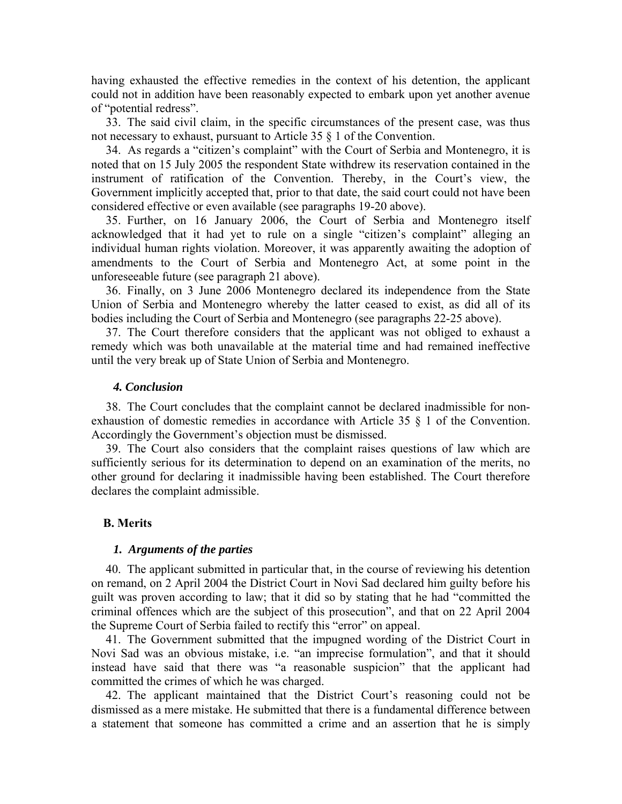having exhausted the effective remedies in the context of his detention, the applicant could not in addition have been reasonably expected to embark upon yet another avenue of "potential redress".

33. The said civil claim, in the specific circumstances of the present case, was thus not necessary to exhaust, pursuant to Article 35 § 1 of the Convention.

34. As regards a "citizen's complaint" with the Court of Serbia and Montenegro, it is noted that on 15 July 2005 the respondent State withdrew its reservation contained in the instrument of ratification of the Convention. Thereby, in the Court's view, the Government implicitly accepted that, prior to that date, the said court could not have been considered effective or even available (see paragraphs 19-20 above).

35. Further, on 16 January 2006, the Court of Serbia and Montenegro itself acknowledged that it had yet to rule on a single "citizen's complaint" alleging an individual human rights violation. Moreover, it was apparently awaiting the adoption of amendments to the Court of Serbia and Montenegro Act, at some point in the unforeseeable future (see paragraph 21 above).

36. Finally, on 3 June 2006 Montenegro declared its independence from the State Union of Serbia and Montenegro whereby the latter ceased to exist, as did all of its bodies including the Court of Serbia and Montenegro (see paragraphs 22-25 above).

37. The Court therefore considers that the applicant was not obliged to exhaust a remedy which was both unavailable at the material time and had remained ineffective until the very break up of State Union of Serbia and Montenegro.

#### *4. Conclusion*

38. The Court concludes that the complaint cannot be declared inadmissible for nonexhaustion of domestic remedies in accordance with Article 35 § 1 of the Convention. Accordingly the Government's objection must be dismissed.

39. The Court also considers that the complaint raises questions of law which are sufficiently serious for its determination to depend on an examination of the merits, no other ground for declaring it inadmissible having been established. The Court therefore declares the complaint admissible.

#### **B. Merits**

### *1. Arguments of the parties*

40. The applicant submitted in particular that, in the course of reviewing his detention on remand, on 2 April 2004 the District Court in Novi Sad declared him guilty before his guilt was proven according to law; that it did so by stating that he had "committed the criminal offences which are the subject of this prosecution", and that on 22 April 2004 the Supreme Court of Serbia failed to rectify this "error" on appeal.

41. The Government submitted that the impugned wording of the District Court in Novi Sad was an obvious mistake, i.e. "an imprecise formulation", and that it should instead have said that there was "a reasonable suspicion" that the applicant had committed the crimes of which he was charged.

42. The applicant maintained that the District Court's reasoning could not be dismissed as a mere mistake. He submitted that there is a fundamental difference between a statement that someone has committed a crime and an assertion that he is simply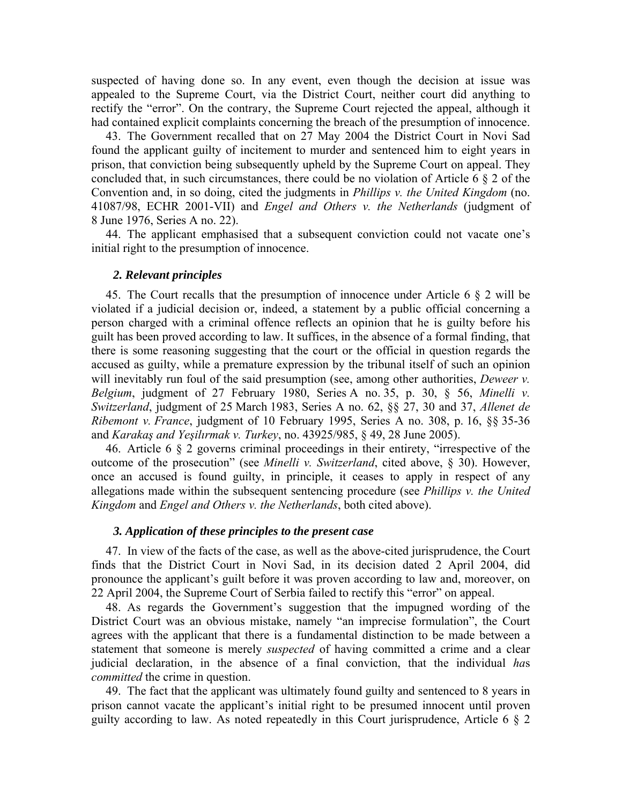suspected of having done so. In any event, even though the decision at issue was appealed to the Supreme Court, via the District Court, neither court did anything to rectify the "error". On the contrary, the Supreme Court rejected the appeal, although it had contained explicit complaints concerning the breach of the presumption of innocence.

43. The Government recalled that on 27 May 2004 the District Court in Novi Sad found the applicant guilty of incitement to murder and sentenced him to eight years in prison, that conviction being subsequently upheld by the Supreme Court on appeal. They concluded that, in such circumstances, there could be no violation of Article 6 § 2 of the Convention and, in so doing, cited the judgments in *Phillips v. the United Kingdom* (no. 41087/98, ECHR 2001-VII) and *Engel and Others v. the Netherlands* (judgment of 8 June 1976, Series A no. 22).

44. The applicant emphasised that a subsequent conviction could not vacate one's initial right to the presumption of innocence.

### *2. Relevant principles*

45. The Court recalls that the presumption of innocence under Article 6 § 2 will be violated if a judicial decision or, indeed, a statement by a public official concerning a person charged with a criminal offence reflects an opinion that he is guilty before his guilt has been proved according to law. It suffices, in the absence of a formal finding, that there is some reasoning suggesting that the court or the official in question regards the accused as guilty, while a premature expression by the tribunal itself of such an opinion will inevitably run foul of the said presumption (see, among other authorities, *Deweer v. Belgium*, judgment of 27 February 1980, Series A no. 35, p. 30, § 56, *Minelli v. Switzerland*, judgment of 25 March 1983, Series A no. 62, §§ 27, 30 and 37, *Allenet de Ribemont v. France*, judgment of 10 February 1995, Series A no. 308, p. 16, §§ 35-36 and *Karakaş and Yeşilırmak v. Turkey*, no. 43925/985, § 49, 28 June 2005).

46. Article 6 § 2 governs criminal proceedings in their entirety, "irrespective of the outcome of the prosecution" (see *Minelli v. Switzerland*, cited above, § 30). However, once an accused is found guilty, in principle, it ceases to apply in respect of any allegations made within the subsequent sentencing procedure (see *Phillips v. the United Kingdom* and *Engel and Others v. the Netherlands*, both cited above).

### *3. Application of these principles to the present case*

47. In view of the facts of the case, as well as the above-cited jurisprudence, the Court finds that the District Court in Novi Sad, in its decision dated 2 April 2004, did pronounce the applicant's guilt before it was proven according to law and, moreover, on 22 April 2004, the Supreme Court of Serbia failed to rectify this "error" on appeal.

48. As regards the Government's suggestion that the impugned wording of the District Court was an obvious mistake, namely "an imprecise formulation", the Court agrees with the applicant that there is a fundamental distinction to be made between a statement that someone is merely *suspected* of having committed a crime and a clear judicial declaration, in the absence of a final conviction, that the individual *ha*s *committed* the crime in question.

49. The fact that the applicant was ultimately found guilty and sentenced to 8 years in prison cannot vacate the applicant's initial right to be presumed innocent until proven guilty according to law. As noted repeatedly in this Court jurisprudence, Article 6 § 2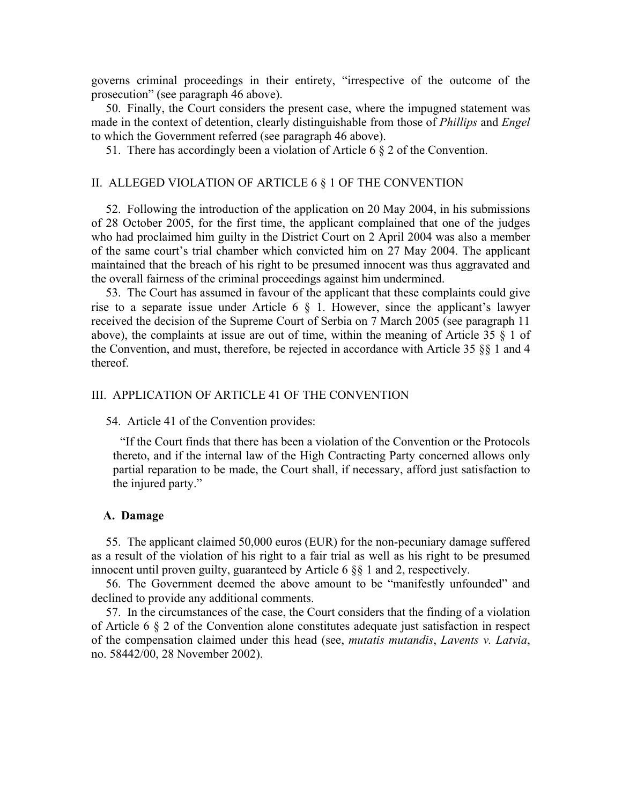governs criminal proceedings in their entirety, "irrespective of the outcome of the prosecution" (see paragraph 46 above).

50. Finally, the Court considers the present case, where the impugned statement was made in the context of detention, clearly distinguishable from those of *Phillips* and *Engel* to which the Government referred (see paragraph 46 above).

51. There has accordingly been a violation of Article 6 § 2 of the Convention.

#### II. ALLEGED VIOLATION OF ARTICLE 6 § 1 OF THE CONVENTION

52. Following the introduction of the application on 20 May 2004, in his submissions of 28 October 2005, for the first time, the applicant complained that one of the judges who had proclaimed him guilty in the District Court on 2 April 2004 was also a member of the same court's trial chamber which convicted him on 27 May 2004. The applicant maintained that the breach of his right to be presumed innocent was thus aggravated and the overall fairness of the criminal proceedings against him undermined.

53. The Court has assumed in favour of the applicant that these complaints could give rise to a separate issue under Article 6 § 1. However, since the applicant's lawyer received the decision of the Supreme Court of Serbia on 7 March 2005 (see paragraph 11 above), the complaints at issue are out of time, within the meaning of Article 35 § 1 of the Convention, and must, therefore, be rejected in accordance with Article 35 §§ 1 and 4 thereof.

#### III. APPLICATION OF ARTICLE 41 OF THE CONVENTION

54. Article 41 of the Convention provides:

"If the Court finds that there has been a violation of the Convention or the Protocols thereto, and if the internal law of the High Contracting Party concerned allows only partial reparation to be made, the Court shall, if necessary, afford just satisfaction to the injured party."

### **A. Damage**

55. The applicant claimed 50,000 euros (EUR) for the non-pecuniary damage suffered as a result of the violation of his right to a fair trial as well as his right to be presumed innocent until proven guilty, guaranteed by Article 6 §§ 1 and 2, respectively.

56. The Government deemed the above amount to be "manifestly unfounded" and declined to provide any additional comments.

57. In the circumstances of the case, the Court considers that the finding of a violation of Article 6 § 2 of the Convention alone constitutes adequate just satisfaction in respect of the compensation claimed under this head (see, *mutatis mutandis*, *Lavents v. Latvia*, no. 58442/00, 28 November 2002).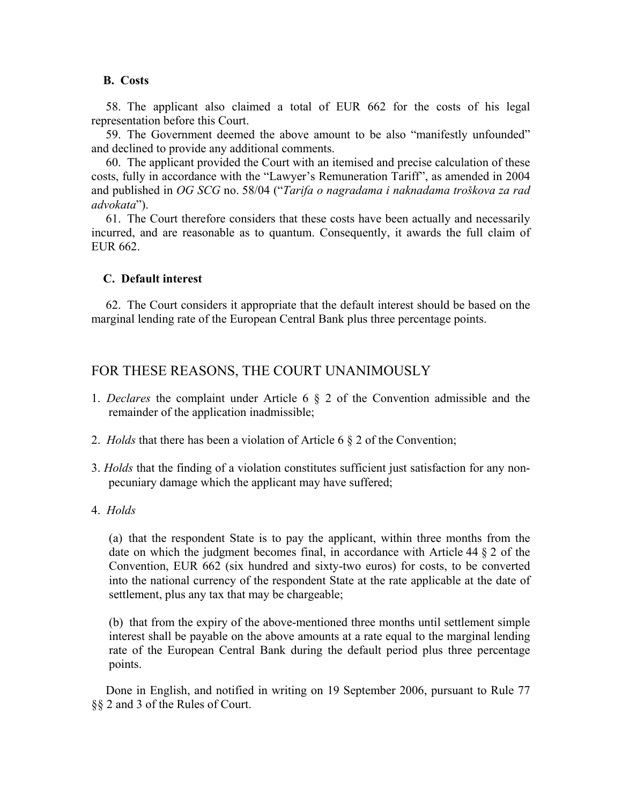### **B. Costs**

58. The applicant also claimed a total of EUR 662 for the costs of his legal representation before this Court.

59. The Government deemed the above amount to be also "manifestly unfounded" and declined to provide any additional comments.

60. The applicant provided the Court with an itemised and precise calculation of these costs, fully in accordance with the "Lawyer's Remuneration Tariff", as amended in 2004 and published in *OG SCG* no. 58/04 ("*Tarifa o nagradama i naknadama troškova za rad advokata*").

61. The Court therefore considers that these costs have been actually and necessarily incurred, and are reasonable as to quantum. Consequently, it awards the full claim of EUR 662.

### **C. Default interest**

62. The Court considers it appropriate that the default interest should be based on the marginal lending rate of the European Central Bank plus three percentage points.

# FOR THESE REASONS, THE COURT UNANIMOUSLY

- 1. *Declares* the complaint under Article 6 § 2 of the Convention admissible and the remainder of the application inadmissible;
- 2. *Holds* that there has been a violation of Article 6 § 2 of the Convention;
- 3. *Holds* that the finding of a violation constitutes sufficient just satisfaction for any nonpecuniary damage which the applicant may have suffered;
- 4. *Holds*

(a) that the respondent State is to pay the applicant, within three months from the date on which the judgment becomes final, in accordance with Article 44 § 2 of the Convention, EUR 662 (six hundred and sixty-two euros) for costs, to be converted into the national currency of the respondent State at the rate applicable at the date of settlement, plus any tax that may be chargeable;

(b) that from the expiry of the above-mentioned three months until settlement simple interest shall be payable on the above amounts at a rate equal to the marginal lending rate of the European Central Bank during the default period plus three percentage points.

Done in English, and notified in writing on 19 September 2006, pursuant to Rule 77 §§ 2 and 3 of the Rules of Court.